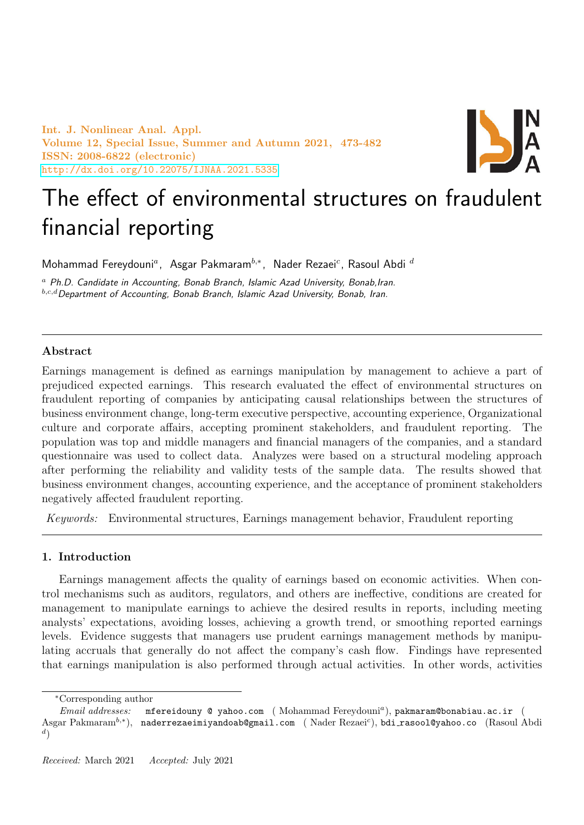Int. J. Nonlinear Anal. Appl. Volume 12, Special Issue, Summer and Autumn 2021, 473-482 ISSN: 2008-6822 (electronic) <http://dx.doi.org/10.22075/IJNAA.2021.5335>



# The effect of environmental structures on fraudulent financial reporting

Mohammad Fereydouni<sup>a</sup>, Asgar Pakmaram<sup>b,∗</sup>, Nader Rezaei<sup>c</sup>, Rasoul Abdi <sup>d</sup>

 $a$  Ph.D. Candidate in Accounting, Bonab Branch, Islamic Azad University, Bonab, Iran.  $b,c,d$  Department of Accounting, Bonab Branch, Islamic Azad University, Bonab, Iran.

## Abstract

Earnings management is defined as earnings manipulation by management to achieve a part of prejudiced expected earnings. This research evaluated the effect of environmental structures on fraudulent reporting of companies by anticipating causal relationships between the structures of business environment change, long-term executive perspective, accounting experience, Organizational culture and corporate affairs, accepting prominent stakeholders, and fraudulent reporting. The population was top and middle managers and financial managers of the companies, and a standard questionnaire was used to collect data. Analyzes were based on a structural modeling approach after performing the reliability and validity tests of the sample data. The results showed that business environment changes, accounting experience, and the acceptance of prominent stakeholders negatively affected fraudulent reporting.

Keywords: Environmental structures, Earnings management behavior, Fraudulent reporting

## 1. Introduction

Earnings management affects the quality of earnings based on economic activities. When control mechanisms such as auditors, regulators, and others are ineffective, conditions are created for management to manipulate earnings to achieve the desired results in reports, including meeting analysts' expectations, avoiding losses, achieving a growth trend, or smoothing reported earnings levels. Evidence suggests that managers use prudent earnings management methods by manipulating accruals that generally do not affect the company's cash flow. Findings have represented that earnings manipulation is also performed through actual activities. In other words, activities

<sup>∗</sup>Corresponding author

Email addresses: mfereidouny @ yahoo.com (Mohammad Fereydouni<sup>a</sup>), pakmaram@bonabiau.ac.ir ( Asgar Pakmaram<sup>b,\*</sup>), naderrezaeimiyandoab@gmail.com (Nader Rezaei<sup>c</sup>),bdi\_rasool@yahoo.co (Rasoul Abdi  $^d)$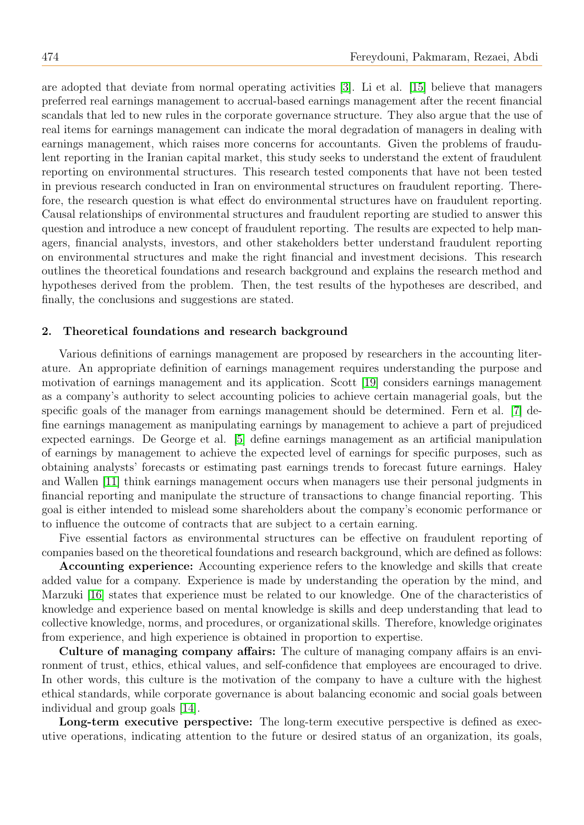are adopted that deviate from normal operating activities [\[3\]](#page-9-0). Li et al. [\[15\]](#page-9-1) believe that managers preferred real earnings management to accrual-based earnings management after the recent financial scandals that led to new rules in the corporate governance structure. They also argue that the use of real items for earnings management can indicate the moral degradation of managers in dealing with earnings management, which raises more concerns for accountants. Given the problems of fraudulent reporting in the Iranian capital market, this study seeks to understand the extent of fraudulent reporting on environmental structures. This research tested components that have not been tested in previous research conducted in Iran on environmental structures on fraudulent reporting. Therefore, the research question is what effect do environmental structures have on fraudulent reporting. Causal relationships of environmental structures and fraudulent reporting are studied to answer this question and introduce a new concept of fraudulent reporting. The results are expected to help managers, financial analysts, investors, and other stakeholders better understand fraudulent reporting on environmental structures and make the right financial and investment decisions. This research outlines the theoretical foundations and research background and explains the research method and hypotheses derived from the problem. Then, the test results of the hypotheses are described, and finally, the conclusions and suggestions are stated.

### 2. Theoretical foundations and research background

Various definitions of earnings management are proposed by researchers in the accounting literature. An appropriate definition of earnings management requires understanding the purpose and motivation of earnings management and its application. Scott [\[19\]](#page-9-2) considers earnings management as a company's authority to select accounting policies to achieve certain managerial goals, but the specific goals of the manager from earnings management should be determined. Fern et al. [\[7\]](#page-9-3) define earnings management as manipulating earnings by management to achieve a part of prejudiced expected earnings. De George et al. [\[5\]](#page-9-4) define earnings management as an artificial manipulation of earnings by management to achieve the expected level of earnings for specific purposes, such as obtaining analysts' forecasts or estimating past earnings trends to forecast future earnings. Haley and Wallen [\[11\]](#page-9-5) think earnings management occurs when managers use their personal judgments in financial reporting and manipulate the structure of transactions to change financial reporting. This goal is either intended to mislead some shareholders about the company's economic performance or to influence the outcome of contracts that are subject to a certain earning.

Five essential factors as environmental structures can be effective on fraudulent reporting of companies based on the theoretical foundations and research background, which are defined as follows:

Accounting experience: Accounting experience refers to the knowledge and skills that create added value for a company. Experience is made by understanding the operation by the mind, and Marzuki [\[16\]](#page-9-6) states that experience must be related to our knowledge. One of the characteristics of knowledge and experience based on mental knowledge is skills and deep understanding that lead to collective knowledge, norms, and procedures, or organizational skills. Therefore, knowledge originates from experience, and high experience is obtained in proportion to expertise.

Culture of managing company affairs: The culture of managing company affairs is an environment of trust, ethics, ethical values, and self-confidence that employees are encouraged to drive. In other words, this culture is the motivation of the company to have a culture with the highest ethical standards, while corporate governance is about balancing economic and social goals between individual and group goals [\[14\]](#page-9-7).

Long-term executive perspective: The long-term executive perspective is defined as executive operations, indicating attention to the future or desired status of an organization, its goals,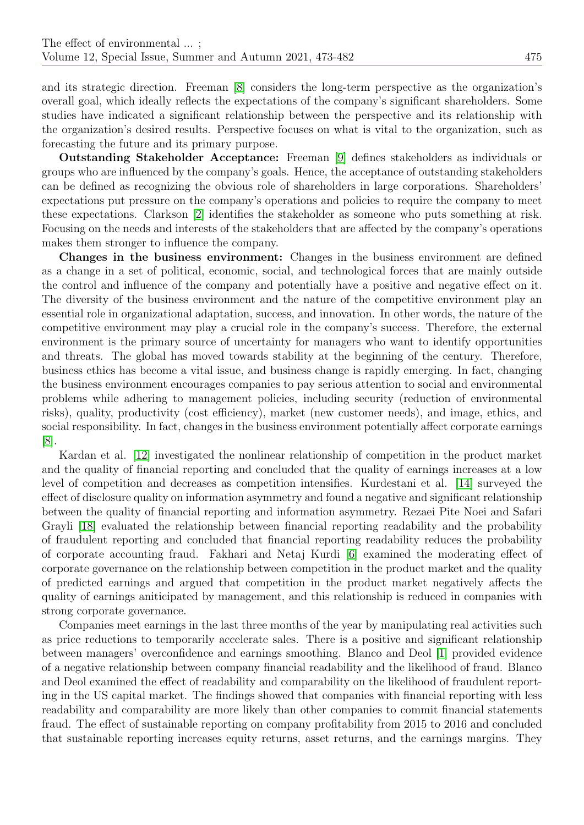and its strategic direction. Freeman [\[8\]](#page-9-8) considers the long-term perspective as the organization's overall goal, which ideally reflects the expectations of the company's significant shareholders. Some studies have indicated a significant relationship between the perspective and its relationship with the organization's desired results. Perspective focuses on what is vital to the organization, such as forecasting the future and its primary purpose.

Outstanding Stakeholder Acceptance: Freeman [\[9\]](#page-9-9) defines stakeholders as individuals or groups who are influenced by the company's goals. Hence, the acceptance of outstanding stakeholders can be defined as recognizing the obvious role of shareholders in large corporations. Shareholders' expectations put pressure on the company's operations and policies to require the company to meet these expectations. Clarkson [\[2\]](#page-9-10) identifies the stakeholder as someone who puts something at risk. Focusing on the needs and interests of the stakeholders that are affected by the company's operations makes them stronger to influence the company.

Changes in the business environment: Changes in the business environment are defined as a change in a set of political, economic, social, and technological forces that are mainly outside the control and influence of the company and potentially have a positive and negative effect on it. The diversity of the business environment and the nature of the competitive environment play an essential role in organizational adaptation, success, and innovation. In other words, the nature of the competitive environment may play a crucial role in the company's success. Therefore, the external environment is the primary source of uncertainty for managers who want to identify opportunities and threats. The global has moved towards stability at the beginning of the century. Therefore, business ethics has become a vital issue, and business change is rapidly emerging. In fact, changing the business environment encourages companies to pay serious attention to social and environmental problems while adhering to management policies, including security (reduction of environmental risks), quality, productivity (cost efficiency), market (new customer needs), and image, ethics, and social responsibility. In fact, changes in the business environment potentially affect corporate earnings [\[8\]](#page-9-8).

Kardan et al. [\[12\]](#page-9-11) investigated the nonlinear relationship of competition in the product market and the quality of financial reporting and concluded that the quality of earnings increases at a low level of competition and decreases as competition intensifies. Kurdestani et al. [\[14\]](#page-9-7) surveyed the effect of disclosure quality on information asymmetry and found a negative and significant relationship between the quality of financial reporting and information asymmetry. Rezaei Pite Noei and Safari Grayli [\[18\]](#page-9-12) evaluated the relationship between financial reporting readability and the probability of fraudulent reporting and concluded that financial reporting readability reduces the probability of corporate accounting fraud. Fakhari and Netaj Kurdi [\[6\]](#page-9-13) examined the moderating effect of corporate governance on the relationship between competition in the product market and the quality of predicted earnings and argued that competition in the product market negatively affects the quality of earnings aniticipated by management, and this relationship is reduced in companies with strong corporate governance.

Companies meet earnings in the last three months of the year by manipulating real activities such as price reductions to temporarily accelerate sales. There is a positive and significant relationship between managers' overconfidence and earnings smoothing. Blanco and Deol [\[1\]](#page-9-14) provided evidence of a negative relationship between company financial readability and the likelihood of fraud. Blanco and Deol examined the effect of readability and comparability on the likelihood of fraudulent reporting in the US capital market. The findings showed that companies with financial reporting with less readability and comparability are more likely than other companies to commit financial statements fraud. The effect of sustainable reporting on company profitability from 2015 to 2016 and concluded that sustainable reporting increases equity returns, asset returns, and the earnings margins. They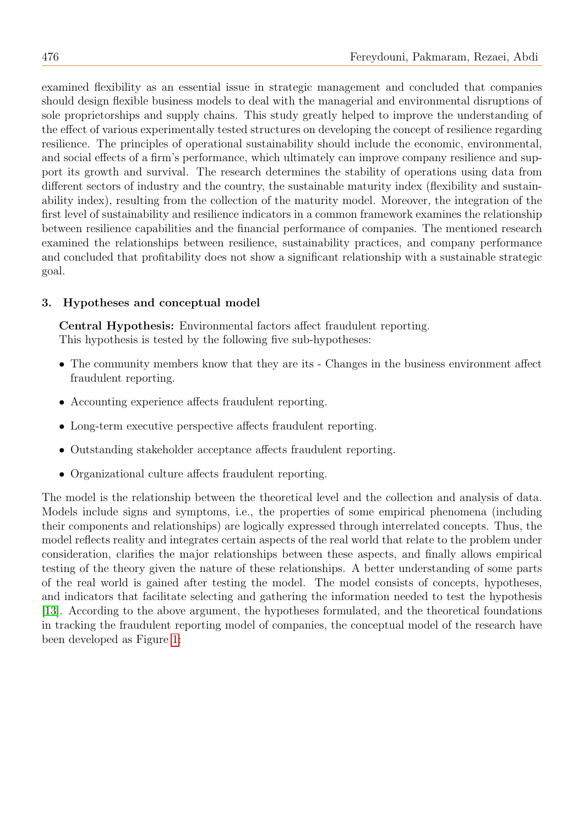examined flexibility as an essential issue in strategic management and concluded that companies should design flexible business models to deal with the managerial and environmental disruptions of sole proprietorships and supply chains. This study greatly helped to improve the understanding of the effect of various experimentally tested structures on developing the concept of resilience regarding resilience. The principles of operational sustainability should include the economic, environmental, and social effects of a firm's performance, which ultimately can improve company resilience and support its growth and survival. The research determines the stability of operations using data from different sectors of industry and the country, the sustainable maturity index (flexibility and sustainability index), resulting from the collection of the maturity model. Moreover, the integration of the first level of sustainability and resilience indicators in a common framework examines the relationship between resilience capabilities and the financial performance of companies. The mentioned research examined the relationships between resilience, sustainability practices, and company performance and concluded that profitability does not show a significant relationship with a sustainable strategic goal.

## 3. Hypotheses and conceptual model

Central Hypothesis: Environmental factors affect fraudulent reporting. This hypothesis is tested by the following five sub-hypotheses:

- The community members know that they are its Changes in the business environment affect fraudulent reporting.
- Accounting experience affects fraudulent reporting.
- Long-term executive perspective affects fraudulent reporting.
- Outstanding stakeholder acceptance affects fraudulent reporting.
- Organizational culture affects fraudulent reporting.

The model is the relationship between the theoretical level and the collection and analysis of data. Models include signs and symptoms, i.e., the properties of some empirical phenomena (including their components and relationships) are logically expressed through interrelated concepts. Thus, the model reflects reality and integrates certain aspects of the real world that relate to the problem under consideration, clarifies the major relationships between these aspects, and finally allows empirical testing of the theory given the nature of these relationships. A better understanding of some parts of the real world is gained after testing the model. The model consists of concepts, hypotheses, and indicators that facilitate selecting and gathering the information needed to test the hypothesis [\[13\]](#page-9-15). According to the above argument, the hypotheses formulated, and the theoretical foundations in tracking the fraudulent reporting model of companies, the conceptual model of the research have been developed as Figure [1:](#page-4-0)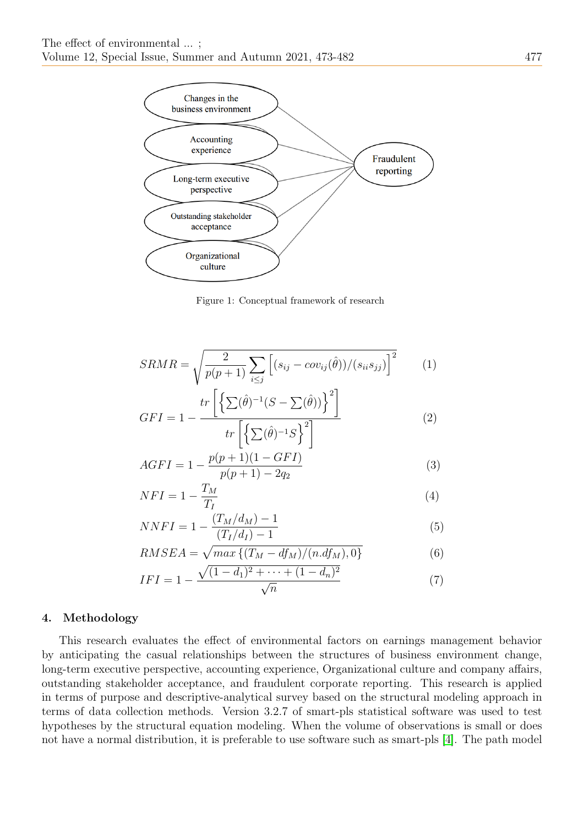

<span id="page-4-0"></span>Figure 1: Conceptual framework of research

$$
SRMR = \sqrt{\frac{2}{p(p+1)} \sum_{i \le j} \left[ (s_{ij} - cov_{ij}(\hat{\theta})) / (s_{ii} s_{jj}) \right]^2} \tag{1}
$$

$$
GFI = 1 - \frac{tr\left[\left\{\sum(\hat{\theta})^{-1}(S - \sum(\hat{\theta}))\right\}^2\right]}{tr\left[\left\{\sum(\hat{\theta})^{-1}S\right\}^2\right]}
$$
(2)

$$
AGFI = 1 - \frac{p(p+1)(1 - GFI)}{p(p+1) - 2q_2} \tag{3}
$$

$$
NFI = 1 - \frac{T_M}{T_I} \tag{4}
$$

$$
NNFI = 1 - \frac{(T_M/d_M) - 1}{(T_I/d_I) - 1} \tag{5}
$$

$$
RMSEA = \sqrt{\max\left\{ (T_M - df_M)/(n.df_M), 0 \right\}}
$$
(6)

$$
IFI = 1 - \frac{\sqrt{(1 - d_1)^2 + \dots + (1 - d_n)^2}}{\sqrt{n}} \tag{7}
$$

## 4. Methodology

This research evaluates the effect of environmental factors on earnings management behavior by anticipating the casual relationships between the structures of business environment change, long-term executive perspective, accounting experience, Organizational culture and company affairs, outstanding stakeholder acceptance, and fraudulent corporate reporting. This research is applied in terms of purpose and descriptive-analytical survey based on the structural modeling approach in terms of data collection methods. Version 3.2.7 of smart-pls statistical software was used to test hypotheses by the structural equation modeling. When the volume of observations is small or does not have a normal distribution, it is preferable to use software such as smart-pls [\[4\]](#page-9-16). The path model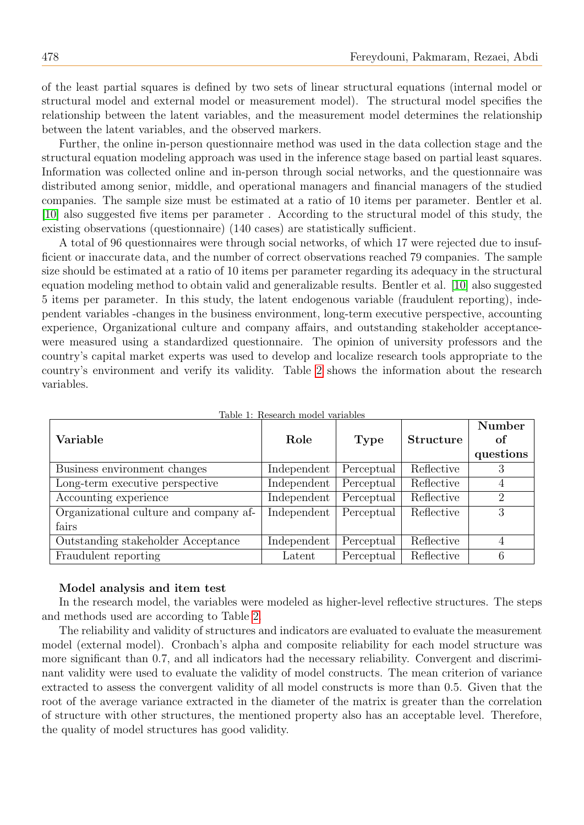of the least partial squares is defined by two sets of linear structural equations (internal model or structural model and external model or measurement model). The structural model specifies the relationship between the latent variables, and the measurement model determines the relationship between the latent variables, and the observed markers.

Further, the online in-person questionnaire method was used in the data collection stage and the structural equation modeling approach was used in the inference stage based on partial least squares. Information was collected online and in-person through social networks, and the questionnaire was distributed among senior, middle, and operational managers and financial managers of the studied companies. The sample size must be estimated at a ratio of 10 items per parameter. Bentler et al. [\[10\]](#page-9-17) also suggested five items per parameter . According to the structural model of this study, the existing observations (questionnaire) (140 cases) are statistically sufficient.

A total of 96 questionnaires were through social networks, of which 17 were rejected due to insufficient or inaccurate data, and the number of correct observations reached 79 companies. The sample size should be estimated at a ratio of 10 items per parameter regarding its adequacy in the structural equation modeling method to obtain valid and generalizable results. Bentler et al. [\[10\]](#page-9-17) also suggested 5 items per parameter. In this study, the latent endogenous variable (fraudulent reporting), independent variables -changes in the business environment, long-term executive perspective, accounting experience, Organizational culture and company affairs, and outstanding stakeholder acceptancewere measured using a standardized questionnaire. The opinion of university professors and the country's capital market experts was used to develop and localize research tools appropriate to the country's environment and verify its validity. Table [2](#page-6-0) shows the information about the research variables.

| Variable                               | Role        | <b>Type</b> | <b>Structure</b> | Number<br>of<br>questions |
|----------------------------------------|-------------|-------------|------------------|---------------------------|
| Business environment changes           | Independent | Perceptual  | Reflective       | 3                         |
| Long-term executive perspective        | Independent | Perceptual  | Reflective       | 4                         |
| Accounting experience                  | Independent | Perceptual  | Reflective       | $\overline{2}$            |
| Organizational culture and company af- | Independent | Perceptual  | Reflective       | 3                         |
| fairs                                  |             |             |                  |                           |
| Outstanding stakeholder Acceptance     | Independent | Perceptual  | Reflective       | 4                         |
| Fraudulent reporting                   | Latent      | Perceptual  | Reflective       | 6                         |

|  | Table 1: Research model variables |  |
|--|-----------------------------------|--|
|  |                                   |  |

#### Model analysis and item test

In the research model, the variables were modeled as higher-level reflective structures. The steps and methods used are according to Table [2.](#page-6-0)

The reliability and validity of structures and indicators are evaluated to evaluate the measurement model (external model). Cronbach's alpha and composite reliability for each model structure was more significant than 0.7, and all indicators had the necessary reliability. Convergent and discriminant validity were used to evaluate the validity of model constructs. The mean criterion of variance extracted to assess the convergent validity of all model constructs is more than 0.5. Given that the root of the average variance extracted in the diameter of the matrix is greater than the correlation of structure with other structures, the mentioned property also has an acceptable level. Therefore, the quality of model structures has good validity.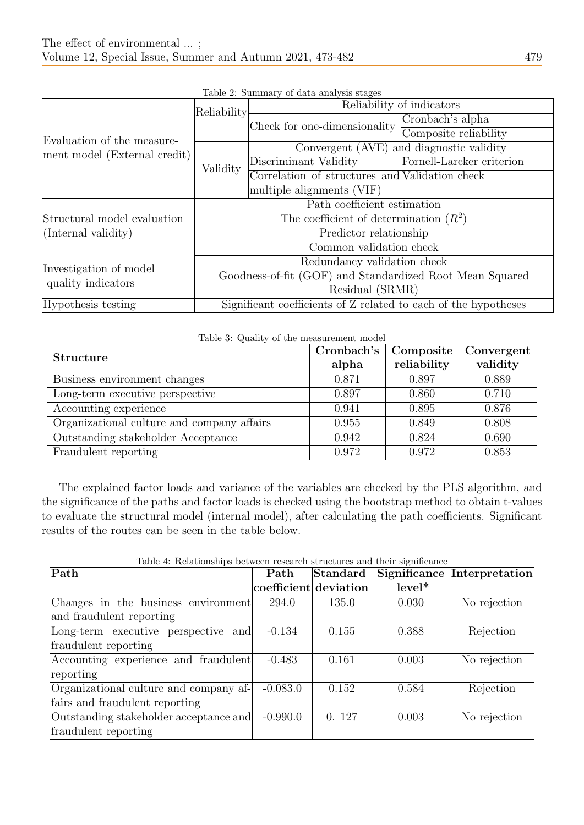<span id="page-6-0"></span>

|                                              | Reliability                                                     | Reliability of indicators                      |                           |  |  |
|----------------------------------------------|-----------------------------------------------------------------|------------------------------------------------|---------------------------|--|--|
| Evaluation of the measure-                   |                                                                 | Check for one-dimensionality                   | Cronbach's alpha          |  |  |
|                                              |                                                                 |                                                | Composite reliability     |  |  |
| ment model (External credit)                 |                                                                 | Convergent (AVE) and diagnostic validity       |                           |  |  |
|                                              | Validity                                                        | Discriminant Validity                          | Fornell-Larcker criterion |  |  |
|                                              |                                                                 | Correlation of structures and Validation check |                           |  |  |
|                                              |                                                                 | multiple alignments (VIF)                      |                           |  |  |
|                                              |                                                                 | Path coefficient estimation                    |                           |  |  |
| Structural model evaluation                  | The coefficient of determination $(R^2)$                        |                                                |                           |  |  |
| $ $ (Internal validity)                      | Predictor relationship                                          |                                                |                           |  |  |
|                                              |                                                                 | Common validation check                        |                           |  |  |
| Investigation of model<br>quality indicators | Redundancy validation check                                     |                                                |                           |  |  |
|                                              | Goodness-of-fit (GOF) and Standardized Root Mean Squared        |                                                |                           |  |  |
|                                              | Residual (SRMR)                                                 |                                                |                           |  |  |
| Hypothesis testing                           | Significant coefficients of Z related to each of the hypotheses |                                                |                           |  |  |

| Table 2: Summary of data analysis stages |  |  |
|------------------------------------------|--|--|
|                                          |  |  |

| Table 3: Quality of the measurement model  |            |             |            |  |  |  |
|--------------------------------------------|------------|-------------|------------|--|--|--|
| <b>Structure</b>                           | Cronbach's | Composite   | Convergent |  |  |  |
|                                            | alpha      | reliability | validity   |  |  |  |
| Business environment changes               | 0.871      | 0.897       | 0.889      |  |  |  |
| Long-term executive perspective            | 0.897      | 0.860       | 0.710      |  |  |  |
| Accounting experience                      | 0.941      | 0.895       | 0.876      |  |  |  |
| Organizational culture and company affairs | 0.955      | 0.849       | 0.808      |  |  |  |
| Outstanding stakeholder Acceptance         | 0.942      | 0.824       | 0.690      |  |  |  |
| Fraudulent reporting                       | 0.972      | 0.972       | 0.853      |  |  |  |

The explained factor loads and variance of the variables are checked by the PLS algorithm, and the significance of the paths and factor loads is checked using the bootstrap method to obtain t-values to evaluate the structural model (internal model), after calculating the path coefficients. Significant results of the routes can be seen in the table below.

| Path                                   | Path                  | Standard |          | Significance Interpretation |
|----------------------------------------|-----------------------|----------|----------|-----------------------------|
|                                        | coefficient deviation |          | $level*$ |                             |
| Changes in the business environment    | 294.0                 | 135.0    | 0.030    | No rejection                |
| and fraudulent reporting               |                       |          |          |                             |
| Long-term executive perspective and    | $-0.134$              | 0.155    | 0.388    | Rejection                   |
| fraudulent reporting                   |                       |          |          |                             |
| Accounting experience and fraudulent   | $-0.483$              | 0.161    | 0.003    | No rejection                |
| reporting                              |                       |          |          |                             |
| Organizational culture and company af- | $-0.083.0$            | 0.152    | 0.584    | Rejection                   |
| fairs and fraudulent reporting         |                       |          |          |                             |
| Outstanding stakeholder acceptance and | $-0.990.0$            | 0.127    | 0.003    | No rejection                |
| fraudulent reporting                   |                       |          |          |                             |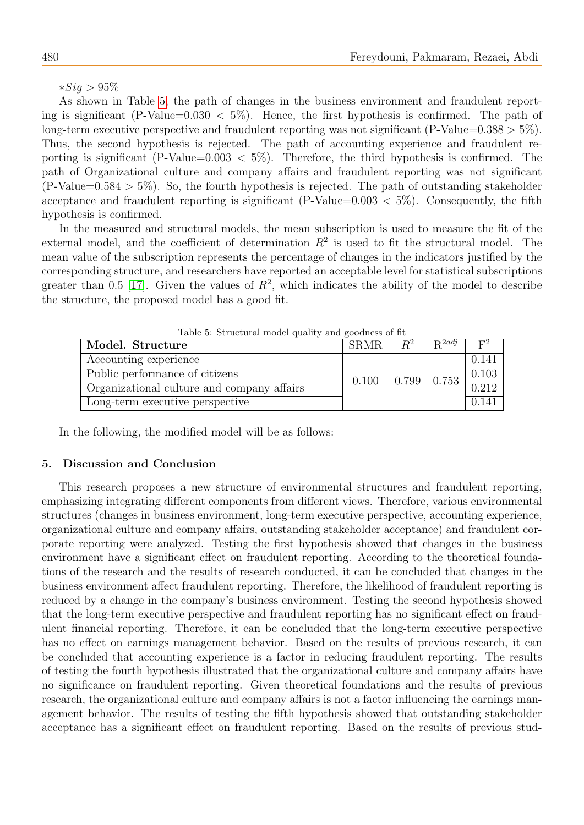∗Sig > 95%

As shown in Table [5,](#page-7-0) the path of changes in the business environment and fraudulent reporting is significant (P-Value=0.030  $\lt$  5%). Hence, the first hypothesis is confirmed. The path of long-term executive perspective and fraudulent reporting was not significant (P-Value=0.388  $> 5\%$ ). Thus, the second hypothesis is rejected. The path of accounting experience and fraudulent reporting is significant (P-Value=0.003  $\lt$  5%). Therefore, the third hypothesis is confirmed. The path of Organizational culture and company affairs and fraudulent reporting was not significant  $(P-Value=0.584 > 5\%)$ . So, the fourth hypothesis is rejected. The path of outstanding stakeholder acceptance and fraudulent reporting is significant (P-Value= $0.003 < 5\%$ ). Consequently, the fifth hypothesis is confirmed.

In the measured and structural models, the mean subscription is used to measure the fit of the external model, and the coefficient of determination  $R^2$  is used to fit the structural model. The mean value of the subscription represents the percentage of changes in the indicators justified by the corresponding structure, and researchers have reported an acceptable level for statistical subscriptions greater than 0.5 [\[17\]](#page-9-18). Given the values of  $R^2$ , which indicates the ability of the model to describe the structure, the proposed model has a good fit.

<span id="page-7-0"></span>

| Table 5: Structural model quality and goodness of $\pi$ |                                    |       |                    |            |  |  |
|---------------------------------------------------------|------------------------------------|-------|--------------------|------------|--|--|
| Model. Structure                                        | <b>SRMR</b>                        | $R^2$ | $R^{2adj}$         | $\Gamma^2$ |  |  |
| Accounting experience                                   |                                    |       |                    | 0.141      |  |  |
| Public performance of citizens                          |                                    |       |                    | 0.103      |  |  |
| Organizational culture and company affairs              | $\vert 0.799 \vert 0.753$<br>0.100 |       | $\overline{0.212}$ |            |  |  |
| Long-term executive perspective                         |                                    |       |                    | 0.141      |  |  |

Table 5: Structural model quality and goodness of fit

In the following, the modified model will be as follows:

#### 5. Discussion and Conclusion

This research proposes a new structure of environmental structures and fraudulent reporting, emphasizing integrating different components from different views. Therefore, various environmental structures (changes in business environment, long-term executive perspective, accounting experience, organizational culture and company affairs, outstanding stakeholder acceptance) and fraudulent corporate reporting were analyzed. Testing the first hypothesis showed that changes in the business environment have a significant effect on fraudulent reporting. According to the theoretical foundations of the research and the results of research conducted, it can be concluded that changes in the business environment affect fraudulent reporting. Therefore, the likelihood of fraudulent reporting is reduced by a change in the company's business environment. Testing the second hypothesis showed that the long-term executive perspective and fraudulent reporting has no significant effect on fraudulent financial reporting. Therefore, it can be concluded that the long-term executive perspective has no effect on earnings management behavior. Based on the results of previous research, it can be concluded that accounting experience is a factor in reducing fraudulent reporting. The results of testing the fourth hypothesis illustrated that the organizational culture and company affairs have no significance on fraudulent reporting. Given theoretical foundations and the results of previous research, the organizational culture and company affairs is not a factor influencing the earnings management behavior. The results of testing the fifth hypothesis showed that outstanding stakeholder acceptance has a significant effect on fraudulent reporting. Based on the results of previous stud-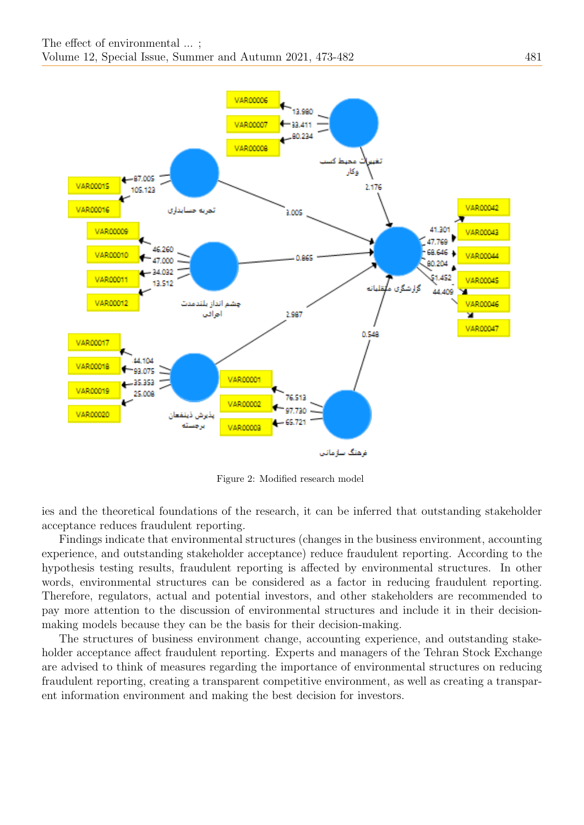

Figure 2: Modified research model

ies and the theoretical foundations of the research, it can be inferred that outstanding stakeholder acceptance reduces fraudulent reporting.

Findings indicate that environmental structures (changes in the business environment, accounting experience, and outstanding stakeholder acceptance) reduce fraudulent reporting. According to the hypothesis testing results, fraudulent reporting is affected by environmental structures. In other words, environmental structures can be considered as a factor in reducing fraudulent reporting. Therefore, regulators, actual and potential investors, and other stakeholders are recommended to pay more attention to the discussion of environmental structures and include it in their decisionmaking models because they can be the basis for their decision-making.

The structures of business environment change, accounting experience, and outstanding stakeholder acceptance affect fraudulent reporting. Experts and managers of the Tehran Stock Exchange are advised to think of measures regarding the importance of environmental structures on reducing fraudulent reporting, creating a transparent competitive environment, as well as creating a transparent information environment and making the best decision for investors.